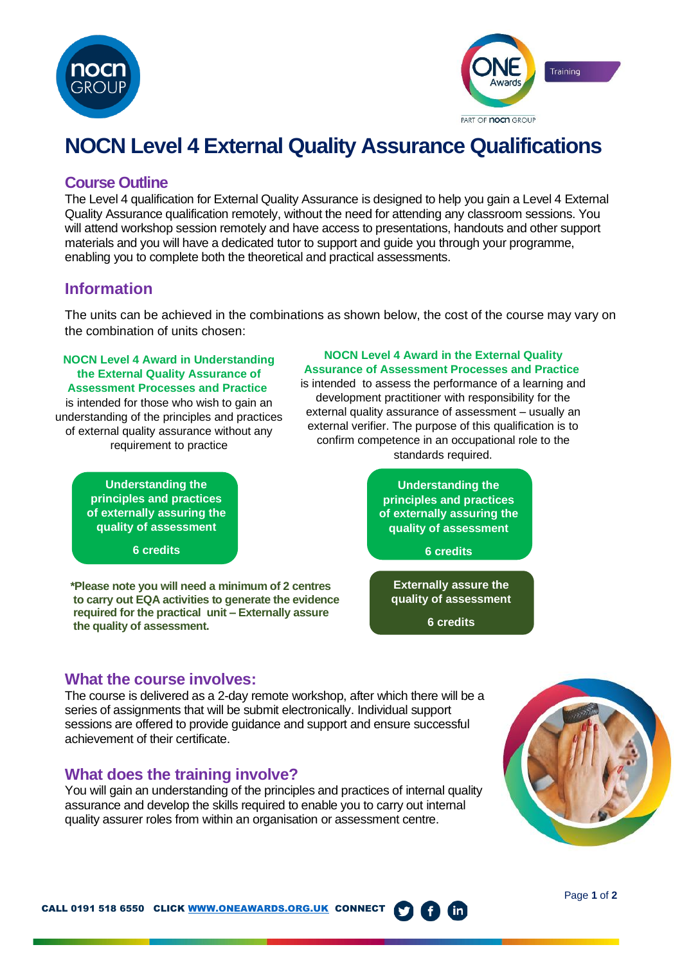



# **NOCN Level 4 External Quality Assurance Qualifications**

## **Course Outline**

The Level 4 qualification for External Quality Assurance is designed to help you gain a Level 4 External Quality Assurance qualification remotely, without the need for attending any classroom sessions. You will attend workshop session remotely and have access to presentations, handouts and other support materials and you will have a dedicated tutor to support and guide you through your programme, enabling you to complete both the theoretical and practical assessments.

# **Information**

The units can be achieved in the combinations as shown below, the cost of the course may vary on the combination of units chosen:

#### **NOCN Level 4 Award in Understanding the External Quality Assurance of Assessment Processes and Practice**

is intended for those who wish to gain an understanding of the principles and practices of external quality assurance without any requirement to practice

> **Understanding the principles and practices of externally assuring the quality of assessment**

> > **6 credits**

**\*Please note you will need a minimum of 2 centres to carry out EQA activities to generate the evidence required for the practical unit – Externally assure the quality of assessment.**

**NOCN Level 4 Award in the External Quality Assurance of Assessment Processes and Practice**

is intended to assess the performance of a learning and development practitioner with responsibility for the external quality assurance of assessment – usually an external verifier. The purpose of this qualification is to confirm competence in an occupational role to the standards required.



## **What the course involves:**

The course is delivered as a 2-day remote workshop, after which there will be a series of assignments that will be submit electronically. Individual support sessions are offered to provide guidance and support and ensure successful achievement of their certificate.

## **What does the training involve?**

You will gain an understanding of the principles and practices of internal quality assurance and develop the skills required to enable you to carry out internal quality assurer roles from within an organisation or assessment centre.